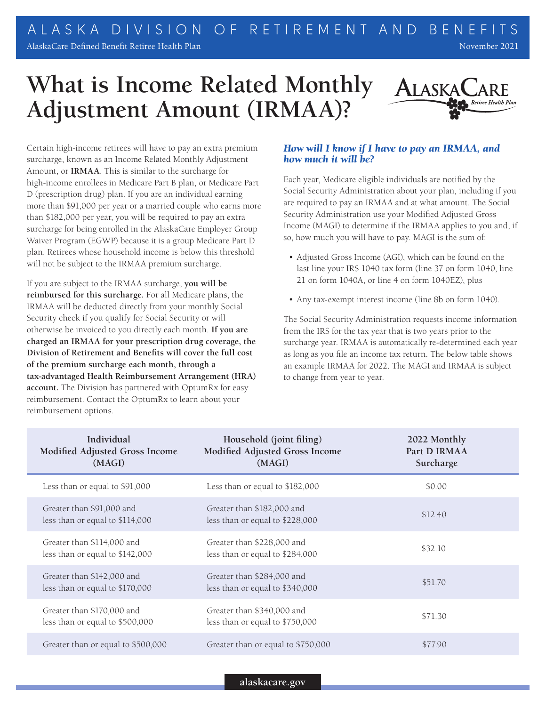## **What is Income Related Monthly Adjustment Amount (IRMAA)?**



Certain high-income retirees will have to pay an extra premium surcharge, known as an Income Related Monthly Adjustment Amount, or **IRMAA**. This is similar to the surcharge for high-income enrollees in Medicare Part B plan, or Medicare Part D (prescription drug) plan. If you are an individual earning more than \$91,000 per year or a married couple who earns more than \$182,000 per year, you will be required to pay an extra surcharge for being enrolled in the AlaskaCare Employer Group Waiver Program (EGWP) because it is a group Medicare Part D plan. Retirees whose household income is below this threshold will not be subject to the IRMAA premium surcharge.

If you are subject to the IRMAA surcharge, **you will be reimbursed for this surcharge.** For all Medicare plans, the IRMAA will be deducted directly from your monthly Social Security check if you qualify for Social Security or will otherwise be invoiced to you directly each month. **If you are charged an IRMAA for your prescription drug coverage, the Division of Retirement and Benefits will cover the full cost of the premium surcharge each month, through a tax‑advantaged Health Reimbursement Arrangement (HRA) account.** The Division has partnered with OptumRx for easy reimbursement. Contact the OptumRx to learn about your reimbursement options.

## *How will I know if I have to pay an IRMAA, and how much it will be?*

Each year, Medicare eligible individuals are notified by the Social Security Administration about your plan, including if you are required to pay an IRMAA and at what amount. The Social Security Administration use your Modified Adjusted Gross Income (MAGI) to determine if the IRMAA applies to you and, if so, how much you will have to pay. MAGI is the sum of:

- Adjusted Gross Income (AGI), which can be found on the last line your IRS 1040 tax form (line 37 on form 1040, line 21 on form 1040A, or line 4 on form 1040EZ), plus
- Any tax-exempt interest income (line 8b on form 1040).

The Social Security Administration requests income information from the IRS for the tax year that is two years prior to the surcharge year. IRMAA is automatically re-determined each year as long as you file an income tax return. The below table shows an example IRMAA for 2022. The MAGI and IRMAA is subject to change from year to year.

| Individual<br>Modified Adjusted Gross Income<br>(MAGI)        | Household (joint filing)<br>Modified Adjusted Gross Income<br>(MAGI) | 2022 Monthly<br>Part D IRMAA<br>Surcharge |
|---------------------------------------------------------------|----------------------------------------------------------------------|-------------------------------------------|
| Less than or equal to \$91,000                                | Less than or equal to \$182,000                                      | \$0.00                                    |
| Greater than \$91,000 and<br>less than or equal to \$114,000  | Greater than \$182,000 and<br>less than or equal to \$228,000        | \$12.40                                   |
| Greater than \$114,000 and<br>less than or equal to \$142,000 | Greater than \$228,000 and<br>less than or equal to \$284,000        | \$32.10                                   |
| Greater than \$142,000 and<br>less than or equal to \$170,000 | Greater than \$284,000 and<br>less than or equal to \$340,000        | \$51.70                                   |
| Greater than \$170,000 and<br>less than or equal to \$500,000 | Greater than \$340,000 and<br>less than or equal to \$750,000        | \$71.30                                   |
| Greater than or equal to \$500,000                            | Greater than or equal to \$750,000                                   | \$77.90                                   |